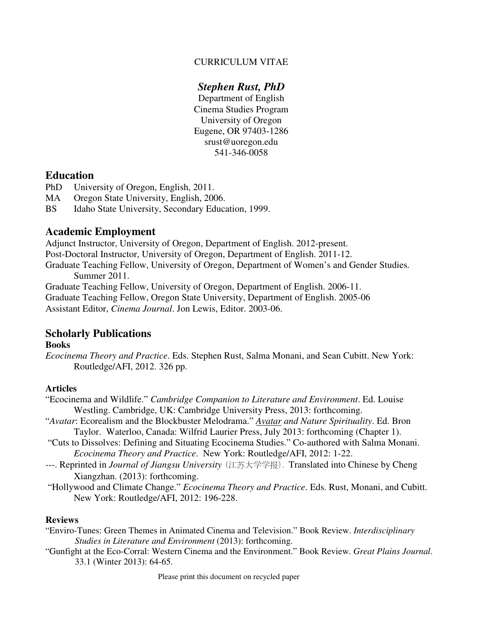### CURRICULUM VITAE

## *Stephen Rust, PhD*

Department of English Cinema Studies Program University of Oregon Eugene, OR 97403-1286 srust@uoregon.edu 541-346-0058

### **Education**

- PhD University of Oregon, English, 2011.
- MA Oregon State University, English, 2006.
- BS Idaho State University, Secondary Education, 1999.

### **Academic Employment**

Adjunct Instructor, University of Oregon, Department of English. 2012-present.

Post-Doctoral Instructor, University of Oregon, Department of English. 2011-12.

Graduate Teaching Fellow, University of Oregon, Department of Women's and Gender Studies. Summer 2011.

Graduate Teaching Fellow, University of Oregon, Department of English. 2006-11.

Graduate Teaching Fellow, Oregon State University, Department of English. 2005-06

Assistant Editor, *Cinema Journal*. Jon Lewis, Editor. 2003-06.

## **Scholarly Publications**

#### **Books**

*Ecocinema Theory and Practice*. Eds. Stephen Rust, Salma Monani, and Sean Cubitt. New York: Routledge/AFI, 2012. 326 pp.

### **Articles**

"Ecocinema and Wildlife." *Cambridge Companion to Literature and Environment*. Ed. Louise Westling. Cambridge, UK: Cambridge University Press, 2013: forthcoming.

- "*Avatar*: Ecorealism and the Blockbuster Melodrama." *Avatar and Nature Spirituality*. Ed. Bron Taylor.Waterloo, Canada: Wilfrid Laurier Press, July 2013: forthcoming (Chapter 1).
- "Cuts to Dissolves: Defining and Situating Ecocinema Studies." Co-authored with Salma Monani. *Ecocinema Theory and Practice*. New York: Routledge/AFI, 2012: 1-22.
- ---. Reprinted in *Journal of Jiangsu University* (江苏大学学报). Translated into Chinese by Cheng Xiangzhan. (2013): forthcoming.
- "Hollywood and Climate Change." *Ecocinema Theory and Practice*. Eds. Rust, Monani, and Cubitt. New York: Routledge/AFI, 2012: 196-228.

### **Reviews**

- "Enviro-Tunes: Green Themes in Animated Cinema and Television." Book Review. *Interdisciplinary Studies in Literature and Environment* (2013): forthcoming.
- "Gunfight at the Eco-Corral: Western Cinema and the Environment." Book Review. *Great Plains Journal*. 33.1 (Winter 2013): 64-65.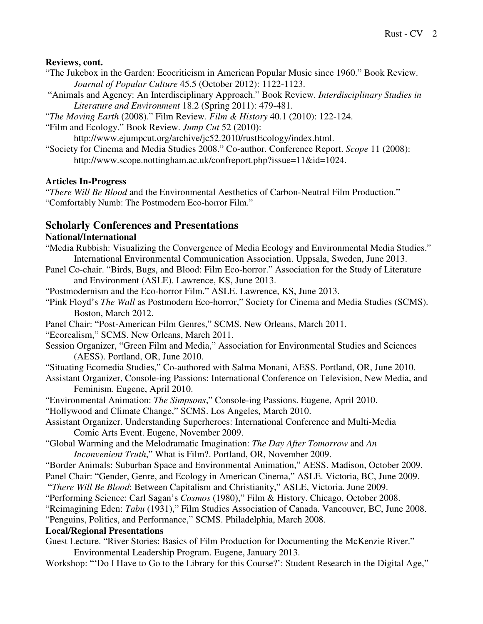### **Reviews, cont.**

- "The Jukebox in the Garden: Ecocriticism in American Popular Music since 1960." Book Review. *Journal of Popular Culture* 45.5 (October 2012): 1122-1123.
- "Animals and Agency: An Interdisciplinary Approach." Book Review. *Interdisciplinary Studies in Literature and Environment* 18.2 (Spring 2011): 479-481.
- "*The Moving Earth* (2008)." Film Review. *Film & History* 40.1 (2010): 122-124.
- "Film and Ecology." Book Review. *Jump Cut* 52 (2010):
	- http://www.ejumpcut.org/archive/jc52.2010/rustEcology/index.html.
- "Society for Cinema and Media Studies 2008." Co-author. Conference Report. *Scope* 11 (2008): http://www.scope.nottingham.ac.uk/confreport.php?issue=11&id=1024.

### **Articles In-Progress**

"*There Will Be Blood* and the Environmental Aesthetics of Carbon-Neutral Film Production." "Comfortably Numb: The Postmodern Eco-horror Film."

### **Scholarly Conferences and Presentations**

### **National/International**

- "Media Rubbish: Visualizing the Convergence of Media Ecology and Environmental Media Studies." International Environmental Communication Association. Uppsala, Sweden, June 2013.
- Panel Co-chair. "Birds, Bugs, and Blood: Film Eco-horror." Association for the Study of Literature and Environment (ASLE). Lawrence, KS, June 2013.
- "Postmodernism and the Eco-horror Film." ASLE. Lawrence, KS, June 2013.
- "Pink Floyd's *The Wall* as Postmodern Eco-horror," Society for Cinema and Media Studies (SCMS). Boston, March 2012.
- Panel Chair: "Post-American Film Genres," SCMS. New Orleans, March 2011.

"Ecorealism," SCMS. New Orleans, March 2011.

- Session Organizer, "Green Film and Media," Association for Environmental Studies and Sciences (AESS). Portland, OR, June 2010.
- "Situating Ecomedia Studies," Co-authored with Salma Monani, AESS. Portland, OR, June 2010.
- Assistant Organizer, Console-ing Passions: International Conference on Television, New Media, and Feminism. Eugene, April 2010.
- "Environmental Animation: *The Simpsons*," Console-ing Passions. Eugene, April 2010.

"Hollywood and Climate Change," SCMS. Los Angeles, March 2010.

- Assistant Organizer. Understanding Superheroes: International Conference and Multi-Media Comic Arts Event. Eugene, November 2009.
- "Global Warming and the Melodramatic Imagination: *The Day After Tomorrow* and *An Inconvenient Truth*," What is Film?. Portland, OR, November 2009.
- "Border Animals: Suburban Space and Environmental Animation," AESS. Madison, October 2009.
- Panel Chair: "Gender, Genre, and Ecology in American Cinema," ASLE. Victoria, BC, June 2009.
- "*There Will Be Blood*: Between Capitalism and Christianity," ASLE, Victoria. June 2009.
- "Performing Science: Carl Sagan's *Cosmos* (1980)," Film & History. Chicago, October 2008.
- "Reimagining Eden: *Tabu* (1931)," Film Studies Association of Canada. Vancouver, BC, June 2008.

"Penguins, Politics, and Performance," SCMS. Philadelphia, March 2008.

### **Local/Regional Presentations**

- Guest Lecture. "River Stories: Basics of Film Production for Documenting the McKenzie River." Environmental Leadership Program. Eugene, January 2013.
- Workshop: "'Do I Have to Go to the Library for this Course?': Student Research in the Digital Age,"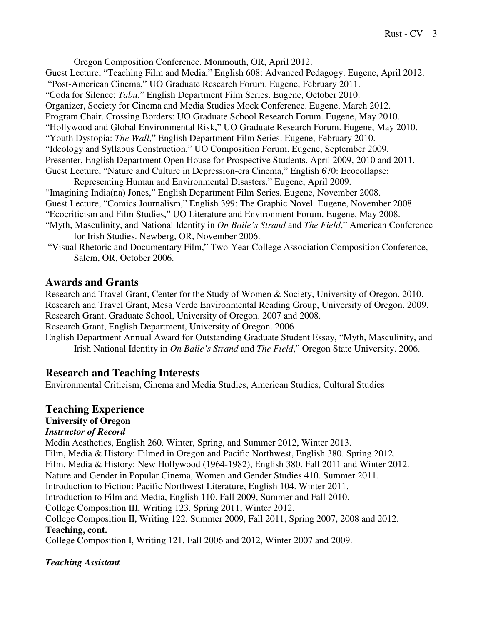Oregon Composition Conference. Monmouth, OR, April 2012. Guest Lecture, "Teaching Film and Media," English 608: Advanced Pedagogy. Eugene, April 2012. "Post-American Cinema," UO Graduate Research Forum. Eugene, February 2011. "Coda for Silence: *Tabu*," English Department Film Series. Eugene, October 2010. Organizer, Society for Cinema and Media Studies Mock Conference. Eugene, March 2012. Program Chair. Crossing Borders: UO Graduate School Research Forum. Eugene, May 2010. "Hollywood and Global Environmental Risk," UO Graduate Research Forum. Eugene, May 2010. "Youth Dystopia: *The Wall*," English Department Film Series. Eugene, February 2010. "Ideology and Syllabus Construction," UO Composition Forum. Eugene, September 2009. Presenter, English Department Open House for Prospective Students. April 2009, 2010 and 2011. Guest Lecture, "Nature and Culture in Depression-era Cinema," English 670: Ecocollapse:

 Representing Human and Environmental Disasters." Eugene, April 2009. "Imagining India(na) Jones," English Department Film Series. Eugene, November 2008. Guest Lecture, "Comics Journalism," English 399: The Graphic Novel. Eugene, November 2008. "Ecocriticism and Film Studies," UO Literature and Environment Forum. Eugene, May 2008. "Myth, Masculinity, and National Identity in *On Baile's Strand* and *The Field*," American Conference

- for Irish Studies. Newberg, OR, November 2006.
- "Visual Rhetoric and Documentary Film," Two-Year College Association Composition Conference, Salem, OR, October 2006.

# **Awards and Grants**

Research and Travel Grant, Center for the Study of Women & Society, University of Oregon. 2010. Research and Travel Grant, Mesa Verde Environmental Reading Group, University of Oregon. 2009. Research Grant, Graduate School, University of Oregon. 2007 and 2008.

Research Grant, English Department, University of Oregon. 2006.

English Department Annual Award for Outstanding Graduate Student Essay, "Myth, Masculinity, and Irish National Identity in *On Baile's Strand* and *The Field*," Oregon State University. 2006.

# **Research and Teaching Interests**

Environmental Criticism, Cinema and Media Studies, American Studies, Cultural Studies

# **Teaching Experience**

## **University of Oregon**

## *Instructor of Record*

Media Aesthetics, English 260. Winter, Spring, and Summer 2012, Winter 2013. Film, Media & History: Filmed in Oregon and Pacific Northwest, English 380. Spring 2012. Film, Media & History: New Hollywood (1964-1982), English 380. Fall 2011 and Winter 2012. Nature and Gender in Popular Cinema, Women and Gender Studies 410. Summer 2011. Introduction to Fiction: Pacific Northwest Literature, English 104. Winter 2011. Introduction to Film and Media, English 110. Fall 2009, Summer and Fall 2010. College Composition III, Writing 123. Spring 2011, Winter 2012. College Composition II, Writing 122. Summer 2009, Fall 2011, Spring 2007, 2008 and 2012. **Teaching, cont.**  College Composition I, Writing 121. Fall 2006 and 2012, Winter 2007 and 2009.

## *Teaching Assistant*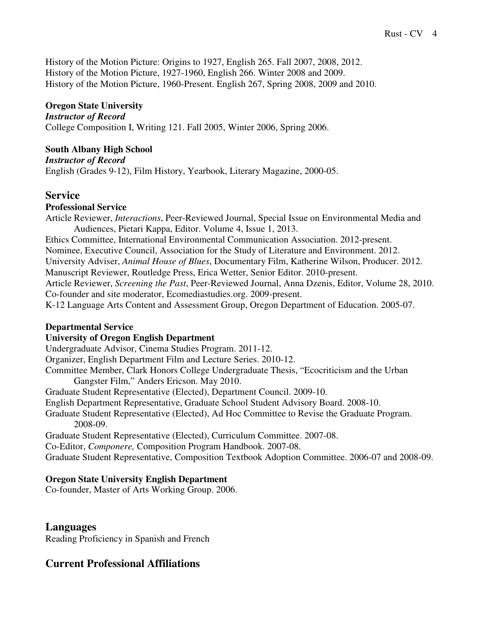History of the Motion Picture: Origins to 1927, English 265. Fall 2007, 2008, 2012. History of the Motion Picture, 1927-1960, English 266. Winter 2008 and 2009. History of the Motion Picture, 1960-Present. English 267, Spring 2008, 2009 and 2010.

### **Oregon State University**

*Instructor of Record*  College Composition I, Writing 121. Fall 2005, Winter 2006, Spring 2006.

### **South Albany High School**

*Instructor of Record*

English (Grades 9-12), Film History, Yearbook, Literary Magazine, 2000-05.

### **Service**

#### **Professional Service**

Article Reviewer, *Interactions*, Peer-Reviewed Journal, Special Issue on Environmental Media and Audiences, Pietari Kappa, Editor. Volume 4, Issue 1, 2013. Ethics Committee, International Environmental Communication Association. 2012-present. Nominee, Executive Council, Association for the Study of Literature and Environment. 2012. University Adviser, *Animal House of Blues*, Documentary Film, Katherine Wilson, Producer. 2012. Manuscript Reviewer, Routledge Press, Erica Wetter, Senior Editor. 2010-present. Article Reviewer, *Screening the Past*, Peer-Reviewed Journal, Anna Dzenis, Editor, Volume 28, 2010. Co-founder and site moderator, Ecomediastudies.org. 2009-present. K-12 Language Arts Content and Assessment Group, Oregon Department of Education. 2005-07.

### **Departmental Service**

### **University of Oregon English Department**

Undergraduate Advisor, Cinema Studies Program. 2011-12. Organizer, English Department Film and Lecture Series. 2010-12.

Committee Member, Clark Honors College Undergraduate Thesis, "Ecocriticism and the Urban Gangster Film," Anders Ericson. May 2010.

Graduate Student Representative (Elected), Department Council. 2009-10.

English Department Representative, Graduate School Student Advisory Board. 2008-10.

Graduate Student Representative (Elected), Ad Hoc Committee to Revise the Graduate Program. 2008-09.

Graduate Student Representative (Elected), Curriculum Committee. 2007-08.

Co-Editor, *Componere,* Composition Program Handbook. 2007-08.

Graduate Student Representative, Composition Textbook Adoption Committee. 2006-07 and 2008-09.

### **Oregon State University English Department**

Co-founder, Master of Arts Working Group. 2006.

### **Languages**

Reading Proficiency in Spanish and French

### **Current Professional Affiliations**